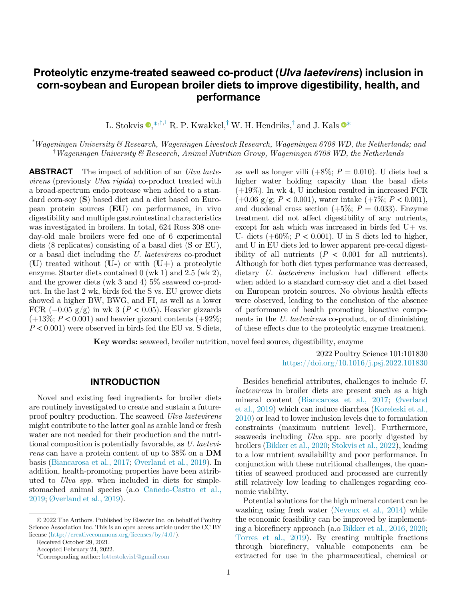# Proteolytic enzyme-treated seaweed co-product (Ulva laetevirens) inclusion in corn-soybean and European broiler diets to improve digestibility, health, and performance

L. Stokvis  $\mathbb{Q}, *$  $\mathbb{Q}, *$  $\mathbb{Q}, *$  $\mathbb{Q}, *$ ,<sup>†[,1](http://orcid.org/0000-0002-7445-8730)</sup> [R.](#page-0-0) [P.](#page-0-0) [Kwakkel,](#page-0-0)<sup>†</sup> [W.](#page-0-0) [H.](#page-0-0) [Hendriks,](#page-0-0)<sup>†</sup> [and J. Kals](http://orcid.org/0000-0002-6882-3113)  $\mathbb{Q}^*$ 

<span id="page-0-0"></span> $\,^*$ Wageningen University & Research, Wageningen Livestock Research, Wageningen 6708 WD, the Netherlands; and  $^\intercal$ Wageningen University & Research, Animal Nutrition Group, Wageningen 6708 WD, the Netherlands

**ABSTRACT** The impact of addition of an *Ulva laete*virens (previously Ulva rigida) co-product treated with a broad-spectrum endo-protease when added to a standard corn-soy (S) based diet and a diet based on European protein sources (EU) on performance, in vivo digestibility and multiple gastrointestinal characteristics was investigated in broilers. In total, 624 Ross 308 oneday-old male broilers were fed one of 6 experimental diets (8 replicates) consisting of a basal diet (S or EU), or a basal diet including the U. laetevirens co-product (U) treated without  $(U-)$  or with  $(U+)$  a proteolytic enzyme. Starter diets contained 0 (wk 1) and 2.5 (wk 2), and the grower diets (wk 3 and 4) 5% seaweed co-product. In the last 2 wk, birds fed the S vs. EU grower diets showed a higher BW, BWG, and FI, as well as a lower FCR  $(-0.05 \text{ g/g})$  in wk 3 ( $P < 0.05$ ). Heavier gizzards  $(+13\%; P < 0.001)$  and heavier gizzard contents  $(+92\%;$  $P < 0.001$ ) were observed in birds fed the EU vs. S diets,

as well as longer villi  $(+8\%; P = 0.010)$ . U diets had a higher water holding capacity than the basal diets  $(+19%)$ . In wk 4, U inclusion resulted in increased FCR  $(+0.06 \text{ g/g}; P < 0.001)$ , water intake  $(+7\%; P < 0.001)$ , and duodenal cross section  $(+5\%; P = 0.033)$ . Enzyme treatment did not affect digestibility of any nutrients, except for ash which was increased in birds fed U+ vs. U- diets  $(+60\%; P < 0.001)$ . U in S diets led to higher, and U in EU diets led to lower apparent pre-cecal digestibility of all nutrients  $(P < 0.001$  for all nutrients). Although for both diet types performance was decreased, dietary U. laetevirens inclusion had different effects when added to a standard corn-soy diet and a diet based on European protein sources. No obvious health effects were observed, leading to the conclusion of the absence of performance of health promoting bioactive components in the U. laetevirens co-product, or of diminishing of these effects due to the proteolytic enzyme treatment.

Key words: seaweed, broiler nutrition, novel feed source, digestibility, enzyme

2022 Poultry Science 101:101830 <https://doi.org/10.1016/j.psj.2022.101830>

# INTRODUCTION

Novel and existing feed ingredients for broiler diets are routinely investigated to create and sustain a futureproof poultry production. The seaweed Ulva laetevirens might contribute to the latter goal as arable land or fresh water are not needed for their production and the nutritional composition is potentially favorable, as U. laetevirens can have a protein content of up to 38% on a DM basis ([Biancarosa et al., 2017](#page-9-0); [Øverland et al., 2019](#page-10-0)). In addition, health-promoting properties have been attributed to Ulva spp. when included in diets for simple-stomached animal species (a.o [Ca](#page-9-1)ñ[edo-Castro et al.,](#page-9-1) [2019;](#page-9-1) [Øverland et al., 2019\)](#page-10-0).

Received October 29, 2021.

Accepted February 24, 2022.

Besides beneficial attributes, challenges to include U. laetevirens in broiler diets are present such as a high mineral content ([Biancarosa et al., 2017](#page-9-0); [Øverland](#page-10-0) [et al., 2019](#page-10-0)) which can induce diarrhea ([Koreleski et al.,](#page-10-1) [2010\)](#page-10-1) or lead to lower inclusion levels due to formulation constraints (maximum nutrient level). Furthermore, seaweeds including Ulva spp. are poorly digested by broilers ([Bikker et al., 2020](#page-9-2); [Stokvis et al., 2022](#page-10-2)), leading to a low nutrient availability and poor performance. In conjunction with these nutritional challenges, the quantities of seaweed produced and processed are currently still relatively low leading to challenges regarding economic viability.

Potential solutions for the high mineral content can be washing using fresh water ([Neveux et al., 2014\)](#page-10-3) while the economic feasibility can be improved by implementing a biorefinery approach (a.o [Bikker et al., 2016](#page-9-3), [2020](#page-9-2); [Torres et al., 2019](#page-10-4)). By creating multiple fractions through biorefinery, valuable components can be extracted for use in the pharmaceutical, chemical or

2022 The Authors. Published by Elsevier Inc. on behalf of Poultry Science Association Inc. This is an open access article under the CC BY license [\(http://creativecommons.org/licenses/by/4.0/](http://creativecommons.org/licenses/by/4.0/)).

<sup>1</sup> Corresponding author: [lottestokvis1@gmail.com](mailto:lottestokvis1@gmail.com)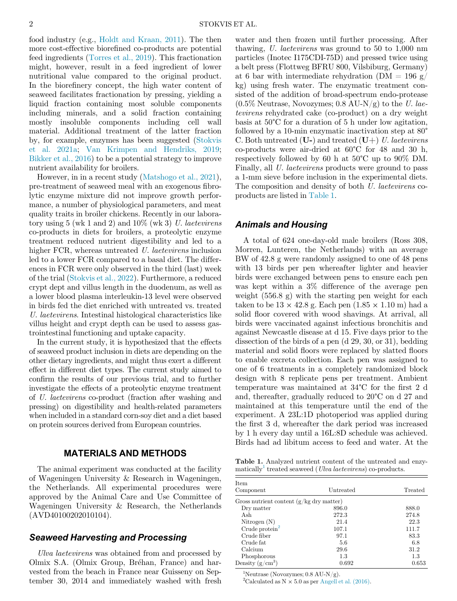food industry (e.g., [Holdt and Kraan, 2011](#page-9-4)). The then more cost-effective biorefined co-products are potential feed ingredients ([Torres et al., 2019\)](#page-10-4). This fractionation might, however, result in a feed ingredient of lower nutritional value compared to the original product. In the biorefinery concept, the high water content of seaweed facilitates fractionation by pressing, yielding a liquid fraction containing most soluble components including minerals, and a solid fraction containing mostly insoluble components including cell wall material. Additional treatment of the latter fraction by, for example, enzymes has been suggested [\(Stokvis](#page-10-5) [et al. 2021a;](#page-10-5) [Van Krimpen and Hendriks, 2019](#page-10-6); [Bikker et al., 2016\)](#page-9-3) to be a potential strategy to improve nutrient availability for broilers.

However, in in a recent study [\(Matshogo et al., 2021](#page-10-7)), pre-treatment of seaweed meal with an exogenous fibrolytic enzyme mixture did not improve growth performance, a number of physiological parameters, and meat quality traits in broiler chickens. Recently in our laboratory using 5 (wk 1 and 2) and  $10\%$  (wk 3) U. laetevirens co-products in diets for broilers, a proteolytic enzyme treatment reduced nutrient digestibility and led to a higher FCR, whereas untreated U. laetevirens inclusion led to a lower FCR compared to a basal diet. The differences in FCR were only observed in the third (last) week of the trial ([Stokvis et al., 2022](#page-10-2)). Furthermore, a reduced crypt dept and villus length in the duodenum, as well as a lower blood plasma interleukin-13 level were observed in birds fed the diet enriched with untreated vs. treated U. laetevirens. Intestinal histological characteristics like villus height and crypt depth can be used to assess gastrointestinal functioning and uptake capacity.

In the current study, it is hypothesized that the effects of seaweed product inclusion in diets are depending on the other dietary ingredients, and might thus exert a different effect in different diet types. The current study aimed to confirm the results of our previous trial, and to further investigate the effects of a proteolytic enzyme treatment of U. laetevirens co-product (fraction after washing and pressing) on digestibility and health-related parameters when included in a standard corn-soy diet and a diet based on protein sources derived from European countries.

# MATERIALS AND METHODS

<span id="page-1-0"></span>The animal experiment was conducted at the facility of Wageningen University & Research in Wageningen, the Netherlands. All experimental procedures were approved by the Animal Care and Use Committee of Wageningen University & Research, the Netherlands (AVD40100202010104).

# Seaweed Harvesting and Processing

<span id="page-1-1"></span>Ulva laetevirens was obtained from and processed by Olmix S.A. (Olmix Group, Bréhan, France) and harvested from the beach in France near Guisseny on September 30, 2014 and immediately washed with fresh water and then frozen until further processing. After thawing, U. laetevirens was ground to 50 to 1,000 nm particles (Inotec I175CDI-75D) and pressed twice using a belt press (Flottweg BFRU 800, Vilsbiburg, Germany) at 6 bar with intermediate rehydration  $(DM = 196 \text{ g})$ kg) using fresh water. The enzymatic treatment consisted of the addition of broad-spectrum endo-protease  $(0.5\%$  Neutrase, Novozymes; 0.8 AU-N/g) to the U. laetevirens rehydrated cake (co-product) on a dry weight basis at 50°C for a duration of 5 h under low agitation, followed by a 10-min enzymatic inactivation step at 80° C. Both untreated  $(U-)$  and treated  $(U+)$  U. laetevirens co-products were air-dried at 60°C for 48 and 30 h, respectively followed by 60 h at 50°C up to 90% DM. Finally, all U. *laetevirens* products were ground to pass a 1-mm sieve before inclusion in the experimental diets. The composition and density of both U. laetevirens coproducts are listed in [Table 1](#page-1-0).

# Animals and Housing

A total of 624 one-day-old male broilers (Ross 308, Morren, Lunteren, the Netherlands) with an average BW of 42.8 g were randomly assigned to one of 48 pens with 13 birds per pen whereafter lighter and heavier birds were exchanged between pens to ensure each pen was kept within a 3% difference of the average pen weight (556.8 g) with the starting pen weight for each taken to be  $13 \times 42.8$  g. Each pen  $(1.85 \times 1.10 \text{ m})$  had a solid floor covered with wood shavings. At arrival, all birds were vaccinated against infectious bronchitis and against Newcastle disease at d 15. Five days prior to the dissection of the birds of a pen (d 29, 30, or 31), bedding material and solid floors were replaced by slatted floors to enable excreta collection. Each pen was assigned to one of 6 treatments in a completely randomized block design with 8 replicate pens per treatment. Ambient temperature was maintained at 34°C for the first 2 d and, thereafter, gradually reduced to 20°C on d 27 and maintained at this temperature until the end of the experiment. A 23L:1D photoperiod was applied during the first 3 d, whereafter the dark period was increased by 1 h every day until a 16L:8D schedule was achieved. Birds had ad libitum access to feed and water. At the

Table 1. Analyzed nutrient content of the untreated and enzy-matically<sup>[1](#page-1-1)</sup> treated seaweed (*Ulva laetevirens*) co-products.

| Item<br>Component                               | Untreated | Treated |
|-------------------------------------------------|-----------|---------|
| Gross nutrient content $(g/kg \, dy \, matter)$ |           |         |
| Dry matter                                      | 896.0     | 888.0   |
| Ash                                             | 272.3     | 274.8   |
| Nitrogen(N)                                     | 21.4      | 22.3    |
| Crude $protein2$                                | 107.1     | 111.7   |
| Crude fiber                                     | 97.1      | 83.3    |
| Crude fat                                       | 5.6       | 6.8     |
| Calcium                                         | 29.6      | 31.2    |
| Phosphorous                                     | 1.3       | 1.3     |
| Density $(g/cm^3)$                              | 0.692     | 0.653   |

1 Neutrase (Novozymes; 0.8 AU-N/g).

<sup>2</sup>Calculated as N  $\times$  5.0 as per [Angell et al. \(2016\)](#page-9-5).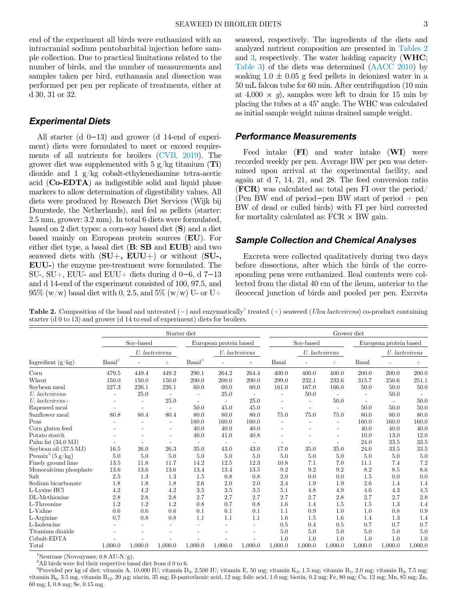end of the experiment all birds were euthanized with an intracranial sodium pentobarbital injection before sample collection. Due to practical limitations related to the number of birds, and the number of measurements and samples taken per bird, euthanasia and dissection was performed per pen per replicate of treatments, either at d 30, 31 or 32.

# Experimental Diets

All starter (d 0−13) and grower (d 14-end of experiment) diets were formulated to meet or exceed requirements of all nutrients for broilers [\(CVB, 2019\)](#page-9-6). The grower diet was supplemented with 5  $g/kg$  titanium (Ti) dioxide and 1 g/kg cobalt-ethylenediamine tetra-acetic acid (Co-EDTA) as indigestible solid and liquid phase markers to allow determination of digestibility values. All diets were produced by Research Diet Services (Wijk bij Duurstede, the Netherlands), and fed as pellets (starter: 2.5 mm, grower: 3.2 mm). In total 6 diets were formulated, based on 2 diet types: a corn-soy based diet (S) and a diet based mainly on European protein sources (EU). For either diet type, a basal diet (B: SB and EUB) and two seaweed diets with  $(SU_{+}, EUU_{+})$  or without  $(SU_{-},$ EUU-) the enzyme pre-treatment were formulated. The SU-, SU+, EUU- and EUU+ diets during d  $0-6$ , d  $7-13$ and d 14-end of the experiment consisted of 100, 97.5, and 95% (w/w) basal diet with 0, 2.5, and 5% (w/w) U- or U+

seaweed, respectively. The ingredients of the diets and analyzed nutrient composition are presented in [Tables 2](#page-2-0) and [3,](#page-3-0) respectively. The water holding capacity (WHC; [Table 3\)](#page-3-0) of the diets was determined ([AACC 2010](#page-9-7)) by soaking  $1.0 \pm 0.05$  g feed pellets in deionized water in a 50 mL falcon tube for 60 min. After centrifugation (10 min at 4,000  $\times$  g), samples were left to drain for 15 min by placing the tubes at a 45° angle. The WHC was calculated as initial sample weight minus drained sample weight.

# Performance Measurements

Feed intake (FI) and water intake (WI) were recorded weekly per pen. Average BW per pen was determined upon arrival at the experimental facility, and again at d 7, 14, 21, and 28. The feed conversion ratio (FCR) was calculated as: total pen FI over the period/ (Pen BW end of period−pen BW start of period + pen BW of dead or culled birds) with FI per bird corrected for mortality calculated as:  $FCR \times BW$  gain.

### Sample Collection and Chemical Analyses

Excreta were collected qualitatively during two days before dissections, after which the birds of the corresponding pens were euthanized. Ileal contents were collected from the distal 40 cm of the ileum, anterior to the ileocecal junction of birds and pooled per pen. Excreta

<span id="page-2-0"></span>**Table 2.** Composition of the basal and untreated  $(-)$  and enzymatically<sup>[1](#page-2-1)</sup> treated  $(+)$  seaweed (*Ulva laetevirens*) co-product containing starter (d 0 to 13) and grower (d 14 to end of experiment) diets for broilers.

|                              |                    |         |                          | Starter diet       |                          | Grower diet              |                          |                          |                          |                        |                |         |
|------------------------------|--------------------|---------|--------------------------|--------------------|--------------------------|--------------------------|--------------------------|--------------------------|--------------------------|------------------------|----------------|---------|
|                              | Sov-based          |         |                          |                    | European protein based   |                          |                          | Sov-based                |                          | European protein based |                |         |
|                              |                    |         | U. laetevirens           |                    | U. laetevirens           |                          |                          |                          | U. laetevirens           |                        | U. laetevirens |         |
| Ingredient $(g/kg)$          | Basal <sup>2</sup> |         | $^{+}$                   | Basal <sup>2</sup> |                          | $^{+}$                   | Basal                    |                          | $^{+}$                   | Basal                  |                | $^{+}$  |
| Corn                         | 479.5              | 449.4   | 449.2                    | 290.1              | 264.2                    | 264.4                    | 400.0                    | 400.0                    | 400.0                    | 200.0                  | 200.0          | 200.0   |
| Wheat                        | 150.0              | 150.0   | 150.0                    | 200.0              | 200.0                    | 200.0                    | 299.0                    | 232.1                    | 232.6                    | 315.7                  | 250.6          | 251.1   |
| Soybean meal                 | 227.3              | 226.1   | 226.1                    | 60.0               | 60.0                     | 60.0                     | 161.0                    | 167.0                    | 166.0                    | 50.0                   | 50.0           | 50.0    |
| U. laetevirens-              |                    | 25.0    |                          |                    | 25.0                     |                          | $\overline{\phantom{a}}$ | 50.0                     |                          |                        | 50.0           |         |
| U. laetevirens +             |                    |         | 25.0                     |                    | $\overline{\phantom{a}}$ | 25.0                     | $\overline{\phantom{a}}$ | $\overline{a}$           | 50.0                     | $\sim$                 |                | 50.0    |
| Rapeseed meal                |                    |         | $\overline{\phantom{a}}$ | 50.0               | 45.0                     | 45.0                     | $\overline{a}$           | $\sim$                   | $\overline{\phantom{a}}$ | 50.0                   | 50.0           | 50.0    |
| Sunflower meal               | 80.8               | 80.4    | 80.4                     | 80.0               | 80.0                     | 80.0                     | 75.0                     | 75.0                     | 75.0                     | 80.0                   | 80.0           | 80.0    |
| Peas                         |                    |         |                          | 160.0              | 160.0                    | 160.0                    | $\overline{\phantom{a}}$ | $\overline{a}$           |                          | 160.0                  | 160.0          | 160.0   |
| Corn gluten feed             |                    |         | $\overline{\phantom{a}}$ | 40.0               | 40.0                     | 40.0                     | $\overline{\phantom{a}}$ | $\overline{\phantom{a}}$ | $\overline{a}$           | 40.0                   | 40.0           | 40.0    |
| Potato starch                |                    |         | $\overline{a}$           | 40.0               | 41.0                     | 40.8                     | $\overline{a}$           | $\overline{\phantom{a}}$ | $\overline{a}$           | 10.0                   | 13.0           | 12.0    |
| Palm fat $(34.0 \text{ MJ})$ |                    |         | $\qquad \qquad -$        |                    | $\overline{\phantom{a}}$ | $\overline{\phantom{0}}$ | $\overline{a}$           | $\overline{\phantom{a}}$ | $\overline{\phantom{a}}$ | 24.0                   | 33.5           | 33.5    |
| Soybean oil (37.5 MJ)        | 16.5               | 26.0    | 26.3                     | 35.0               | 43.0                     | 43.0                     | 17.0                     | 35.0                     | 35.0                     | 24.0                   | 33.5           | 33.5    |
| Premix <sup>3</sup> (5 g/kg) | 5.0                | 5.0     | 5.0                      | 5.0                | 5.0                      | 5.0                      | 5.0                      | 5.0                      | 5.0                      | 5.0                    | 5.0            | 5.0     |
| Finely ground lime           | 13.5               | 11.8    | 11.7                     | 14.2               | 12.5                     | 12.3                     | 10.8                     | 7.1                      | 7.0                      | 11.1                   | 7.4            | 7.2     |
| Monocalcium phosphate        | 13.6               | 13.6    | 13.6                     | 13.4               | 13.4                     | 13.5                     | 9.2                      | 9.2                      | 9.2                      | 8.2                    | 8.5            | 8.6     |
| Salt                         | 2.5                | 1.3     | 1.3                      | 1.5                | 0.8                      | 0.8                      | 2.0                      | 0.0                      | 0.0                      | 1.5                    | 0.0            | 0.0     |
| Sodium bicarbonate           | 1.8                | 1.8     | 1.8                      | 2.6                | 2.0                      | 2.0                      | 2.4                      | 1.9                      | 1.9                      | 2.6                    | 1.4            | 1.4     |
| L-Lysine HCl                 | 4.2                | 4.2     | 4.2                      | 3.5                | 3.5                      | 3.5                      | 5.1                      | 4.8                      | 4.9                      | 4.6                    | 4.3            | 4.5     |
| DL-Methionine                | 2.8                | 2.8     | 2.8                      | 2.7                | 2.7                      | 2.7                      | 2.7                      | 2.7                      | 2.8                      | 2.7                    | 2.7            | 2.8     |
| L-Threonine                  | 1.2                | 1.2     | 1.2                      | 0.8                | 0.7                      | 0.8                      | 1.6                      | 1.4                      | 1.5                      | 1.5                    | 1.3            | 1.4     |
| L-Valine                     | 0.6                | 0.6     | 0.6                      | 0.1                | 0.1                      | 0.1                      | 1.1                      | 0.9                      | 1.0                      | 1.0                    | 0.8            | 0.9     |
| L-Arginine                   | 0.7                | 0.8     | 0.8                      | 1.1                | 1.1                      | 1.1                      | 1.6                      | 1.5                      | 1.6                      | 1.4                    | 1.3            | 1.4     |
| L-Isoleucine                 |                    |         |                          |                    |                          |                          | 0.5                      | 0.4                      | 0.5                      | 0.7                    | 0.7            | 0.7     |
| Titanium dioxide             |                    |         |                          |                    |                          |                          | 5.0                      | 5.0                      | 5.0                      | 5.0                    | 5.0            | 5.0     |
| Cobalt-EDTA                  |                    |         |                          |                    |                          |                          | 1.0                      | 1.0                      | 1.0                      | 1.0                    | 1.0            | 1.0     |
| Total                        | 1,000.0            | 1,000.0 | 1,000.0                  | 1,000.0            | 1,000.0                  | 1,000.0                  | 1,000.0                  | 1,000.0                  | 1,000.0                  | 1,000.0                | 1,000.0        | 1,000.0 |

 $1$ Neutrase (Novozymes; 0.8 AU-N/g).

<sup>2</sup>All birds were fed their respective basal diet from d 0 to 6.

<span id="page-2-2"></span><span id="page-2-1"></span><sup>3</sup>Provided per kg of diet: vitamin A, 10,000 IU; vitamin D<sub>3</sub>, 2,500 IU; vitamin E, 50 mg; vitamin K<sub>3</sub>, 1.5 mg; vitamin B<sub>1</sub>, 2.0 mg; vitamin B<sub>2</sub>, 7.5 mg; vitamin  $B_6$ , 3.5 mg, vitamin  $B_{12}$ , 20  $\mu$ g; niacin, 35 mg; D-pantothenic acid, 12 mg; folic acid, 1.0 mg; biotin, 0.2 mg; Fe, 80 mg; Cu, 12 mg; Mn, 85 mg; Zn, 60 mg; I, 0.8 mg; Se, 0.15 mg.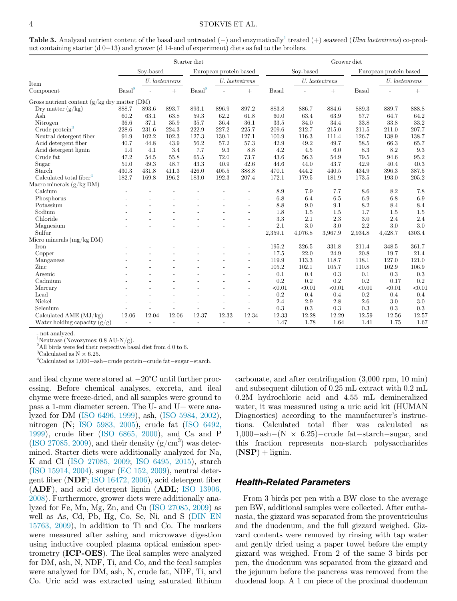#### 4 STOKVIS ET AL.

<span id="page-3-0"></span>**Table 3.** Analyzed nutrient content of the basal and untreated  $(-)$  and enzymatically<sup>[1](#page-3-1)</sup> treated  $(+)$  seaweed (*Ulva laetevirens*) co-product containing starter (d 0−13) and grower (d 14-end of experiment) diets as fed to the broilers.

|                                              |                          |                          |                          | Starter diet             |                          |                          | Grower diet |                |         |                        |                |         |  |
|----------------------------------------------|--------------------------|--------------------------|--------------------------|--------------------------|--------------------------|--------------------------|-------------|----------------|---------|------------------------|----------------|---------|--|
| <b>Item</b>                                  | Sov-based                |                          |                          |                          | European protein based   |                          |             | Sov-based      |         | European protein based |                |         |  |
|                                              |                          |                          | U. laetevirens           |                          | U. laetevirens           |                          |             | U. laetevirens |         |                        | U. laetevirens |         |  |
| Component                                    | Basal <sup>2</sup>       |                          | $+$                      | Basal <sup>2</sup>       | $\overline{a}$           | $^{+}$                   | Basal       |                | $+$     | Basal                  |                | $^{+}$  |  |
| Gross nutrient content (g/kg dry matter (DM) |                          |                          |                          |                          |                          |                          |             |                |         |                        |                |         |  |
| Dry matter $(g/kg)$                          | 888.7                    | 893.6                    | 893.7                    | 893.1                    | 896.9                    | 897.2                    | 883.8       | 886.7          | 884.6   | 889.3                  | 889.7          | 888.8   |  |
| Ash                                          | 60.2                     | 63.1                     | 63.8                     | 59.3                     | 62.2                     | 61.8                     | 60.0        | 63.4           | 63.9    | 57.7                   | 64.7           | 64.2    |  |
| Nitrogen                                     | 36.6                     | 37.1                     | 35.9                     | 35.7                     | 36.4                     | 36.1                     | 33.5        | 34.0           | 34.4    | 33.8                   | 33.8           | 33.2    |  |
| Crude $protein3$                             | 228.6                    | 231.6                    | 224.3                    | 222.9                    | 227.2                    | 225.7                    | 209.6       | 212.7          | 215.0   | 211.5                  | 211.0          | 207.7   |  |
| Neutral detergent fiber                      | 91.9                     | 102.2                    | 102.3                    | 127.3                    | 130.1                    | 127.1                    | 100.9       | 116.3          | 111.4   | 126.7                  | 138.9          | 138.7   |  |
| Acid detergent fiber                         | 40.7                     | 44.8                     | 43.9                     | 56.2                     | 57.2                     | 57.3                     | 42.9        | 49.2           | 49.7    | 58.5                   | 66.3           | 65.7    |  |
| Acid detergent lignin                        | 1.4                      | 4.1                      | 3.4                      | 7.7                      | 9.3                      | 8.8                      | 4.2         | 4.5            | 6.0     | 8.3                    | 8.2            | 9.3     |  |
| Crude fat                                    | 47.2                     | 54.5                     | 55.8                     | 65.5                     | 72.0                     | 73.7                     | 43.6        | 56.3           | 54.9    | 79.5                   | 94.6           | 95.2    |  |
| Sugar                                        | 51.0                     | 49.3                     | 48.7                     | 43.3                     | 40.9                     | 42.6                     | 44.6        | 44.0           | 43.7    | 42.9                   | 40.4           | 40.3    |  |
| Starch                                       | 430.3                    | 431.8                    | 411.3                    | 426.0                    | 405.5                    | 388.8                    | 470.1       | 444.2          | 440.5   | 434.9                  | 396.3          | 387.5   |  |
| Calculated total fiber <sup>4</sup>          | 182.7                    | 169.8                    | 196.2                    | 183.0                    | 192.3                    | 207.4                    | 172.1       | 179.5          | 181.9   | 173.5                  | 193.0          | 205.2   |  |
| Macro minerals $(g/kg DM)$                   |                          |                          |                          |                          |                          |                          |             |                |         |                        |                |         |  |
| Calcium                                      |                          |                          |                          |                          |                          |                          | 8.9         | 7.9            | 7.7     | 8.6                    | 8.2            | 7.8     |  |
| Phosphorus                                   |                          |                          |                          |                          |                          |                          | 6.8         | 6.4            | 6.5     | 6.9                    | 6.8            | 6.9     |  |
| Potassium                                    |                          |                          |                          |                          |                          | $\overline{\phantom{a}}$ | 8.8         | 9.0            | 9.1     | 8.2                    | 8.4            | 8.4     |  |
| Sodium                                       |                          |                          |                          |                          |                          |                          | 1.8         | 1.5            | 1.5     | 1.7                    | 1.5            | 1.5     |  |
| Chloride                                     |                          |                          |                          |                          |                          |                          | 3.3         | 2.1            | 2.3     | 3.0                    | 2.4            | 2.4     |  |
| Magnesium                                    |                          |                          |                          |                          |                          |                          | 2.1         | 3.0            | 3.0     | 2.2                    | 3.0            | 3.0     |  |
| Sulfur                                       |                          |                          |                          |                          |                          |                          | 2,359.1     | 4,076.8        | 3,967.9 | 2,934.8                | 4,428.7        | 4303.4  |  |
| Micro minerals $(mg/kg DM)$                  |                          |                          |                          |                          |                          |                          |             |                |         |                        |                |         |  |
| Iron                                         |                          |                          |                          |                          |                          |                          | 195.2       | 326.5          | 331.8   | 211.4                  | 348.5          | 361.7   |  |
| Copper                                       |                          |                          |                          |                          |                          | $\overline{a}$           | 17.5        | 22.0           | 24.9    | 20.8                   | 19.7           | 21.4    |  |
| Manganese                                    |                          |                          |                          |                          |                          | $\overline{a}$           | 119.9       | 113.3          | 118.7   | 118.1                  | 127.0          | 121.0   |  |
| Zinc                                         |                          |                          |                          |                          |                          |                          | 105.2       | 102.1          | 105.7   | 110.8                  | 102.9          | 106.9   |  |
| Arsenic                                      |                          |                          |                          |                          |                          | $\overline{\phantom{0}}$ | 0.1         | 0.4            | 0.3     | 0.1                    | 0.3            | $0.3\,$ |  |
| Cadmium                                      |                          |                          | $\overline{a}$           |                          |                          | $\overline{a}$           | 0.2         | 0.2            | 0.2     | 0.2                    | 0.17           | 0.2     |  |
| Mercury                                      |                          |                          |                          |                          |                          | $\overline{a}$           | < 0.01      | < 0.01         | < 0.01  | < 0.01                 | < 0.01         | < 0.01  |  |
| Lead                                         |                          |                          |                          |                          |                          |                          | 0.2         | 0.4            | 0.4     | 0.2                    | 0.4            | 0.4     |  |
| Nickel                                       |                          |                          |                          |                          |                          |                          | 2.4         | 2.9            | 2.8     | 2.6                    | 3.0            | 3.0     |  |
| Selenium                                     |                          |                          |                          |                          |                          |                          | 0.3         | 0.3            | 0.3     | 0.3                    | 0.3            | 0.3     |  |
| Calculated AME $(MJ/kg)$                     | 12.06                    | 12.04                    | 12.06                    | 12.37                    | 12.33                    | 12.34                    | 12.33       | 12.28          | 12.29   | 12.59                  | 12.56          | 12.57   |  |
| Water holding capacity $(g/g)$               | $\overline{\phantom{a}}$ | $\overline{\phantom{a}}$ | $\overline{\phantom{a}}$ | $\overline{\phantom{a}}$ | $\overline{\phantom{a}}$ | $\overline{a}$           | 1.47        | 1.78           | 1.64    | 1.41                   | 1.75           | 1.67    |  |

- not analyzed.

<sup>1</sup>Neutrase (Novozymes; 0.8 AU-N/g).

<span id="page-3-3"></span><span id="page-3-2"></span><span id="page-3-1"></span><sup>2</sup>All birds were fed their respective basal diet from d 0 to 6.

<sup>3</sup>Calculated as  $N \times 6.25$ .<br><sup>4</sup>Calculated as 1,000, as

Calculated as 1,000-ash-crude protein-crude fat-sugar-starch.

and ileal chyme were stored at  $-20^{\circ}$ C until further processing. Before chemical analyses, excreta, and ileal chyme were freeze-dried, and all samples were ground to pass a 1-mm diameter screen. The U- and U+ were analyzed for DM [\(ISO 6496, 1999](#page-10-8)), ash, [\(ISO 5984, 2002](#page-9-8)), nitrogen (N; [ISO 5983, 2005\)](#page-9-9), crude fat ([ISO 6492,](#page-9-10) [1999\)](#page-9-10), crude fiber ([ISO 6865, 2000\)](#page-10-9), and Ca and P  $(ISO 27085, 2009)$  $(ISO 27085, 2009)$  $(ISO 27085, 2009)$ , and their density  $(g/cm<sup>3</sup>)$  was determined. Starter diets were additionally analyzed for Na, K and Cl [\(ISO 27085, 2009](#page-9-11); [ISO 6495, 2015](#page-9-12)), starch ([ISO 15914, 2004\)](#page-9-13), sugar ([EC 152, 2009](#page-9-14)), neutral detergent fiber (NDF; [ISO 16472, 2006](#page-9-15)), acid detergent fiber (ADF), and acid detergent lignin (ADL; [ISO 13906,](#page-9-16) [2008\)](#page-9-16). Furthermore, grower diets were additionally analyzed for Fe, Mn, Mg, Zn, and Cu [\(ISO 27085, 2009](#page-9-11)) as well as As, Cd, Pb, Hg, Co, Se, Ni, and S ([DIN EN](#page-9-17) [15763, 2009](#page-9-17)), in addition to Ti and Co. The markers were measured after ashing and microwave digestion using inductive coupled plasma optical emission spectrometry (ICP-OES). The ileal samples were analyzed for DM, ash, N, NDF, Ti, and Co, and the fecal samples were analyzed for DM, ash, N, crude fat, NDF, Ti, and Co. Uric acid was extracted using saturated lithium carbonate, and after centrifugation (3,000 rpm, 10 min) and subsequent dilution of 0.25 mL extract with 0.2 mL 0.2M hydrochloric acid and 4.55 mL demineralized water, it was measured using a uric acid kit (HUMAN Diagnostics) according to the manufacturer's instructions. Calculated total fiber was calculated as  $1,000$  -ash - (N  $\times$  6.25) - crude fat -starch - sugar, and this fraction represents non-starch polysaccharides  $(NSP) +$  lignin.

### Health-Related Parameters

From 3 birds per pen with a BW close to the average pen BW, additional samples were collected. After euthanasia, the gizzard was separated from the proventriculus and the duodenum, and the full gizzard weighed. Gizzard contents were removed by rinsing with tap water and gently dried using a paper towel before the empty gizzard was weighed. From 2 of the same 3 birds per pen, the duodenum was separated from the gizzard and the jejunum before the pancreas was removed from the duodenal loop. A 1 cm piece of the proximal duodenum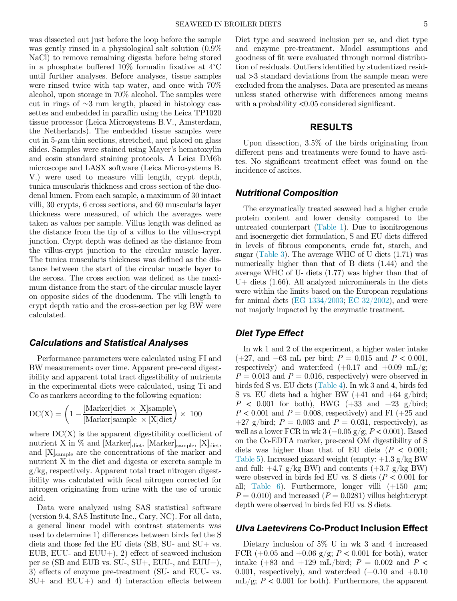was dissected out just before the loop before the sample was gently rinsed in a physiological salt solution (0.9% NaCl) to remove remaining digesta before being stored in a phosphate buffered 10% formalin fixative at 4°C until further analyses. Before analyses, tissue samples were rinsed twice with tap water, and once with 70% alcohol, upon storage in 70% alcohol. The samples were cut in rings of  $\sim$ 3 mm length, placed in histology cassettes and embedded in paraffin using the Leica TP1020 tissue processor (Leica Microsystems B.V., Amsterdam, the Netherlands). The embedded tissue samples were cut in  $5-\mu m$  thin sections, stretched, and placed on glass slides. Samples were stained using Mayer's hematoxylin and eosin standard staining protocols. A Leica DM6b microscope and LASX software (Leica Microsystems B. V.) were used to measure villi length, crypt depth, tunica muscularis thickness and cross section of the duodenal lumen. From each sample, a maximum of 30 intact villi, 30 crypts, 6 cross sections, and 60 muscularis layer thickness were measured, of which the averages were taken as values per sample. Villus length was defined as the distance from the tip of a villus to the villus-crypt junction. Crypt depth was defined as the distance from the villus-crypt junction to the circular muscle layer. The tunica muscularis thickness was defined as the distance between the start of the circular muscle layer to the serosa. The cross section was defined as the maximum distance from the start of the circular muscle layer on opposite sides of the duodenum. The villi length to crypt depth ratio and the cross-section per kg BW were calculated.

# Calculations and Statistical Analyses

Performance parameters were calculated using FI and BW measurements over time. Apparent pre-cecal digestibility and apparent total tract digestibility of nutrients in the experimental diets were calculated, using Ti and Co as markers according to the following equation:

$$
DC(X) = \left(1 - \frac{[Market] diet \times [X] sample}{[Market] sample \times [X] diet}\right) \times 100
$$

where  $DC(X)$  is the apparent digestibility coefficient of nutrient X in % and [Marker] $_{\text{dieet}}$ , [Marker] $_{\text{sample}}$ , [X] $_{\text{dieet}}$ , and  $[X]_{\text{sample}}$  are the concentrations of the marker and nutrient X in the diet and digesta or excreta sample in g/kg, respectively. Apparent total tract nitrogen digestibility was calculated with fecal nitrogen corrected for nitrogen originating from urine with the use of uronic acid.

Data were analyzed using SAS statistical software (version 9.4, SAS Institute Inc., Cary, NC). For all data, a general linear model with contrast statements was used to determine 1) differences between birds fed the S diets and those fed the EU diets (SB, SU- and SU+ vs. EUB, EUU- and EUU+), 2) effect of seaweed inclusion per se (SB and EUB vs. SU-,  $SU^{+}$ , EUU-, and EUU+), 3) effects of enzyme pre-treatment (SU- and EUU- vs.  $SU<sub>+</sub>$  and  $EUU<sub>+</sub>$ ) and 4) interaction effects between Diet type and seaweed inclusion per se, and diet type and enzyme pre-treatment. Model assumptions and goodness of fit were evaluated through normal distribution of residuals. Outliers identified by studentized residual >3 standard deviations from the sample mean were excluded from the analyses. Data are presented as means unless stated otherwise with differences among means with a probability  $<0.05$  considered significant.

# RESULTS

Upon dissection, 3.5% of the birds originating from different pens and treatments were found to have ascites. No significant treatment effect was found on the incidence of ascites.

### Nutritional Composition

The enzymatically treated seaweed had a higher crude protein content and lower density compared to the untreated counterpart [\(Table 1](#page-1-0)). Due to isonitrogenous and isoenergetic diet formulation, S and EU diets differed in levels of fibrous components, crude fat, starch, and sugar [\(Table 3\)](#page-3-0). The average WHC of U diets (1.71) was numerically higher than that of B diets (1.44) and the average WHC of U- diets (1.77) was higher than that of  $U+$  diets  $(1.66)$ . All analyzed microminerals in the diets were within the limits based on the European regulations for animal diets ([EG 1334/2003;](#page-9-18) [EC 32/2002\)](#page-9-19), and were not majorly impacted by the enzymatic treatment.

# Diet Type Effect

In wk 1 and 2 of the experiment, a higher water intake  $(+27, \text{ and } +63 \text{ mL per bird}; P = 0.015 \text{ and } P < 0.001,$ respectively) and water:feed  $(+0.17 \text{ and } +0.09 \text{ mL/g};$  $P = 0.013$  and  $P = 0.016$ , respectively) were observed in birds fed S vs. EU diets [\(Table 4\)](#page-5-0). In wk 3 and 4, birds fed S vs. EU diets had a higher BW  $(+41$  and  $+64$  g/bird;  $P \leq 0.001$  for both), BWG (+33 and +23 g/bird;  $P < 0.001$  and  $P = 0.008$ , respectively) and FI (+25 and +27 g/bird;  $P = 0.003$  and  $P = 0.031$ , respectively), as well as a lower FCR in wk 3  $(-0.05 \text{ g/g}; P < 0.001)$ . Based on the Co-EDTA marker, pre-cecal OM digestibility of S diets was higher than that of EU diets ( $P < 0.001$ ; [Table 5\)](#page-5-1). Increased gizzard weight (empty:  $+1.3$  g/kg BW and full:  $+4.7$  g/kg BW) and contents  $(+3.7 \text{ g/kg BW})$ were observed in birds fed EU vs. S diets ( $P < 0.001$  for all; [Table 6\)](#page-6-0). Furthermore, longer villi  $(+150 \mu m;$  $P = 0.010$ ) and increased  $(P = 0.0281)$  villus height:crypt depth were observed in birds fed EU vs. S diets.

# Ulva Laetevirens Co-Product Inclusion Effect

Dietary inclusion of 5% U in wk 3 and 4 increased FCR (+0.05 and +0.06 g/g;  $P < 0.001$  for both), water intake  $(+83 \text{ and } +129 \text{ mL/bird}; P = 0.002 \text{ and } P <$ 0.001, respectively), and water:feed  $(+0.10 \text{ and } +0.10$ mL/g;  $P < 0.001$  for both). Furthermore, the apparent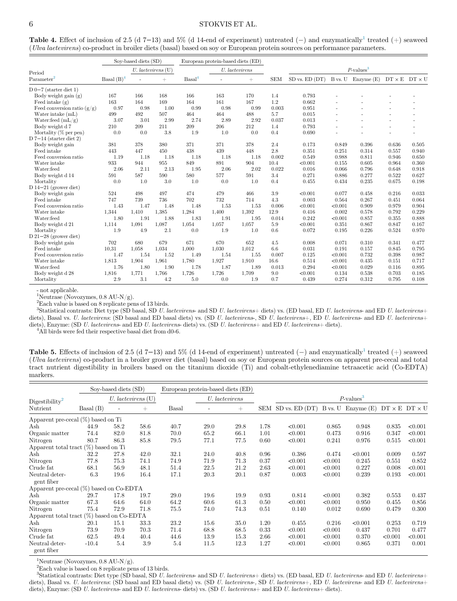#### 6 STOKVIS ET AL.

<span id="page-5-0"></span>Table 4. Effect of inclusion of 2.5 (d 7–[1](#page-5-2)3) and 5% (d 14-end of experiment) untreated (−) and enzymatically<sup>1</sup> treated (+) seaweed (Ulva laetevirens) co-product in broiler diets (basal) based on soy or European protein sources on performance parameters.

|                               |                        | Soy-based diets (SD) |        |                    | European protein-based diets (ED) |       |            |                          |         |                          |                             |       |
|-------------------------------|------------------------|----------------------|--------|--------------------|-----------------------------------|-------|------------|--------------------------|---------|--------------------------|-----------------------------|-------|
| Period                        | $U.$ laetevirens $(U)$ |                      |        |                    | U. laetevirens                    |       |            | $P$ -values <sup>3</sup> |         |                          |                             |       |
| Parameter <sup>2</sup>        | Basal $(B)^4$          |                      | $^{+}$ | Basal <sup>4</sup> |                                   | $+$   | <b>SEM</b> | $SD$ vs. $ED(DT)$        |         | $B$ vs. $U$ Enzyme $(E)$ | $DT \times E$ $DT \times U$ |       |
| $D$ 0-7 (starter diet 1)      |                        |                      |        |                    |                                   |       |            |                          |         |                          |                             |       |
| Body weight gain (g)          | 167                    | 166                  | 168    | 166                | 163                               | 170   | 1.4        | 0.793                    |         |                          |                             |       |
| Feed intake $(g)$             | 163                    | 164                  | 169    | 164                | 161                               | 167   | 1.2        | 0.662                    |         |                          |                             |       |
| Feed conversion ratio $(g/g)$ | 0.97                   | 0.98                 | 1.00   | 0.99               | 0.98                              | 0.99  | 0.003      | 0.951                    |         |                          |                             |       |
| Water intake (mL)             | 499                    | 492                  | 507    | 464                | 464                               | 488   | 5.7        | 0.015                    |         |                          |                             |       |
| Water:feed $(mL/g)$           | 3.07                   | 3.01                 | 2.99   | 2.74               | 2.89                              | 2.92  | 0.037      | 0.013                    |         |                          |                             |       |
| Body weight d 7               | 210                    | 209                  | 211    | 209                | 206                               | 212   | 1.4        | 0.793                    |         |                          |                             |       |
| Mortality ( $%$ per pen)      | 0.0                    | 0.0                  | 3.8    | 1.9                | 1.0                               | 0.0   | 0.4        | 0.690                    |         |                          |                             |       |
| $D 7-14$ (starter diet 2)     |                        |                      |        |                    |                                   |       |            |                          |         |                          |                             |       |
| Body weight gain              | 381                    | 378                  | 380    | 371                | 371                               | 378   | 2.4        | 0.173                    | 0.849   | 0.396                    | 0.636                       | 0.505 |
| Feed intake                   | 443                    | 447                  | 450    | 438                | 439                               | 448   | 2.8        | 0.351                    | 0.251   | 0.314                    | 0.557                       | 0.940 |
| Feed conversion ratio         | 1.19                   | 1.18                 | 1.18   | 1.18               | 1.18                              | 1.18  | 0.002      | 0.549                    | 0.988   | 0.811                    | 0.946                       | 0.650 |
| Water intake                  | 933                    | 944                  | 955    | 849                | 891                               | 904   | 10.4       | < 0.001                  | 0.155   | 0.605                    | 0.964                       | 0.360 |
| Water:feed                    | 2.06                   | 2.11                 | 2.13   | 1.95               | 2.06                              | 2.02  | 0.022      | 0.016                    | 0.066   | 0.796                    | 0.648                       | 0.918 |
| Body weight d 14              | 591                    | 587                  | 590    | 580                | 577                               | 591   | 3.4        | 0.271                    | 0.886   | 0.277                    | 0.522                       | 0.627 |
| Mortality                     | 0.0                    | 1.0                  | 3.0    | 1.0                | 0.0                               | 1.0   | 0.4        | 0.455                    | 0.434   | 0.235                    | 0.675                       | 0.198 |
| $D$ 14-21 (grower diet)       |                        |                      |        |                    |                                   |       |            |                          |         |                          |                             |       |
| Body weight gain              | 524                    | 498                  | 497    | 474                | 479                               | 466   | 3.9        | < 0.001                  | 0.077   | 0.458                    | 0.216                       | 0.033 |
| Feed intake                   | 747                    | 739                  | 736    | 702                | 732                               | 714   | 4.3        | 0.003                    | 0.564   | 0.267                    | 0.451                       | 0.064 |
| Feed conversion ratio         | 1.43                   | 1.47                 | 1.48   | 1.48               | 1.53                              | 1.53  | 0.006      | < 0.001                  | < 0.001 | 0.909                    | 0.979                       | 0.904 |
| Water intake                  | 1,344                  | 1,410                | 1,385  | 1,284              | 1,400                             | 1,392 | 12.9       | 0.416                    | 0.002   | 0.578                    | 0.792                       | 0.229 |
| Water:feed                    | 1.80                   | 1.91                 | 1.88   | 1.83               | 1.91                              | 1.95  | 0.014      | 0.242                    | < 0.001 | 0.857                    | 0.355                       | 0.888 |
| Body weight d 21              | 1.114                  | 1,091                | 1,087  | 1,054              | 1,057                             | 1,057 | 5.9        | < 0.001                  | 0.351   | 0.867                    | 0.847                       | 0.167 |
| Mortality                     | 1.9                    | 4.9                  | 2.1    | 0.0                | 1.9                               | 1.0   | 0.6        | 0.072                    | 0.195   | 0.226                    | 0.524                       | 0.970 |
| $D$ 21-28 (grower diet)       |                        |                      |        |                    |                                   |       |            |                          |         |                          |                             |       |
| Body weight gain              | 702                    | 680                  | 679    | 671                | 670                               | 652   | 4.5        | 0.008                    | 0.071   | 0.310                    | 0.341                       | 0.477 |
| Feed intake                   | 10,31                  | 1,058                | 1,034  | 1,000              | 1,030                             | 1,012 | 6.6        | 0.031                    | 0.191   | 0.157                    | 0.845                       | 0.795 |
| Feed conversion ratio         | 1.47                   | 1.54                 | 1.52   | 1.49               | 1.54                              | 1.55  | 0.007      | 0.125                    | < 0.001 | 0.732                    | 0.398                       | 0.987 |
| Water intake                  | 1,813                  | 1,904                | 1,961  | 1,780              | 1,927                             | 1,910 | 16.6       | 0.514                    | < 0.001 | 0.435                    | 0.151                       | 0.717 |
| Water:feed                    | 1.76                   | 1.80                 | 1.90   | 1.78               | 1.87                              | 1.89  | 0.013      | 0.294                    | < 0.001 | 0.029                    | 0.116                       | 0.895 |
| Body weight d 28              | 1,816                  | 1,771                | 1,766  | 1,726              | 1,726                             | 1,709 | 9.0        | < 0.001                  | 0.134   | 0.538                    | 0.703                       | 0.185 |
|                               | 2.9                    | 3.1                  | 4.2    | 5.0                | 0.0                               | 1.9   | 0.7        | 0.439                    | 0.274   | 0.312                    | 0.795                       | 0.108 |
| Mortality                     |                        |                      |        |                    |                                   |       |            |                          |         |                          |                             |       |

- not applicable.

1 Neutrase (Novozymes, 0.8 AU-N/g).

2 Each value is based on 8 replicate pens of 13 birds.

<span id="page-5-4"></span><span id="page-5-3"></span><span id="page-5-2"></span><sup>3</sup>Statistical contrasts: Diet type (SD basal, SD U. laetevirens- and SD U. laetevirens+ diets) vs. (ED basal, ED U. laetevirens- and ED U. laetevirens+ diets), Basal vs. U. laetevirens: (SD basal and ED basal diets) vs. (SD U. laetevirens-, SD U. laetevirens+, ED U. laetevirens- and ED U. laetevirens+ diets), Enzyme: (SD U. laetevirens- and ED U. laetevirens- diets) vs. (SD U. laetevirens+ and ED U. laetevirens+ diets).

<sup>4</sup>All birds were fed their respective basal diet from d0-6.

<span id="page-5-1"></span>**Table 5.** Effects of inclusion of 2.5 (d 7–[1](#page-5-5)3) and 5% (d 14-end of experiment) untreated (-) and enzymatically<sup>1</sup> treated (+) seaweed (Ulva laetevirens) co-product in a broiler grower diet (basal) based on soy or European protein sources on apparent pre-cecal and total tract nutrient digestibility in broilers based on the titanium dioxide (Ti) and cobalt-ethylenediamine tetraacetic acid (Co-EDTA) markers.

|                                           |          | Soy-based diets (SD) |                      | European protein-based diets (ED) |      |      |                          |                   |         |           |                             |         |  |  |
|-------------------------------------------|----------|----------------------|----------------------|-----------------------------------|------|------|--------------------------|-------------------|---------|-----------|-----------------------------|---------|--|--|
| $\text{Digestibility}^2$                  |          |                      | U. laetevirens $(U)$ | U. laetevirens                    |      |      | $P$ -values <sup>3</sup> |                   |         |           |                             |         |  |  |
| Nutrient                                  | Basal(B) |                      | $^{+}$               | Basal                             |      | $+$  | SEM                      | $SD$ vs. $ED(DT)$ | B vs. U | Enzyme(E) | $DT \times E$ DT $\times U$ |         |  |  |
| Apparent pre-cecal (%) based on Ti        |          |                      |                      |                                   |      |      |                          |                   |         |           |                             |         |  |  |
| Ash                                       | 44.9     | 58.2                 | 58.6                 | 40.7                              | 29.0 | 29.8 | 1.78                     | < 0.001           | 0.865   | 0.948     | 0.835                       | < 0.001 |  |  |
| Organic matter                            | 74.4     | 82.0                 | 81.8                 | 70.0                              | 65.2 | 66.1 | 1.01                     | < 0.001           | 0.473   | 0.916     | 0.347                       | < 0.001 |  |  |
| Nitrogen                                  | 80.7     | 86.3                 | 85.8                 | 79.5                              | 77.1 | 77.5 | 0.60                     | < 0.001           | 0.241   | 0.976     | 0.515                       | < 0.001 |  |  |
| Apparent total tract $(\%)$ based on Ti   |          |                      |                      |                                   |      |      |                          |                   |         |           |                             |         |  |  |
| Ash                                       | 32.2     | 27.8                 | 42.0                 | 32.1                              | 24.0 | 40.8 | 0.96                     | 0.386             | 0.474   | < 0.001   | 0.009                       | 0.597   |  |  |
| Nitrogen                                  | 77.8     | 75.3                 | 74.1                 | 74.9                              | 71.9 | 71.3 | 0.37                     | < 0.001           | < 0.001 | 0.245     | 0.551                       | 0.852   |  |  |
| Crude fat                                 | 68.1     | 56.9                 | 48.1                 | 51.4                              | 22.5 | 21.2 | 2.63                     | < 0.001           | < 0.001 | 0.227     | 0.008                       | < 0.001 |  |  |
| Neutral deter-<br>gent fiber              | 6.3      | 19.6                 | 16.4                 | 17.1                              | 20.3 | 20.1 | 0.87                     | 0.003             | < 0.001 | 0.239     | 0.193                       | < 0.001 |  |  |
| Apparent pre-cecal (%) based on Co-EDTA   |          |                      |                      |                                   |      |      |                          |                   |         |           |                             |         |  |  |
| Ash                                       | 29.7     | 17.8                 | 19.7                 | 29.0                              | 19.6 | 19.9 | 0.93                     | 0.814             | < 0.001 | 0.382     | 0.553                       | 0.437   |  |  |
| Organic matter                            | 67.3     | 64.6                 | 64.0                 | 64.2                              | 60.6 | 61.3 | 0.50                     | < 0.001           | < 0.001 | 0.950     | 0.455                       | 0.856   |  |  |
| Nitrogen                                  | 75.4     | 72.9                 | 71.8                 | 75.5                              | 74.0 | 74.3 | 0.51                     | 0.140             | 0.012   | 0.690     | 0.479                       | 0.300   |  |  |
| Apparent total tract (%) based on Co-EDTA |          |                      |                      |                                   |      |      |                          |                   |         |           |                             |         |  |  |
| Ash                                       | 20.1     | 15.1                 | 33.3                 | 23.2                              | 15.6 | 35.0 | 1.20                     | 0.455             | 0.216   | < 0.001   | 0.253                       | 0.719   |  |  |
| Nitrogen                                  | 73.9     | 70.9                 | 70.3                 | 71.4                              | 68.8 | 68.5 | 0.33                     | < 0.001           | < 0.001 | 0.437     | 0.701                       | 0.477   |  |  |
| Crude fat                                 | 62.5     | 49.4                 | 40.4                 | 44.6                              | 13.9 | 15.3 | 2.66                     | < 0.001           | < 0.001 | 0.370     | < 0.001                     | < 0.001 |  |  |
| Neutral deter-<br>gent fiber              | $-10.4$  | 5.4                  | 3.9                  | 5.4                               | 11.5 | 12.3 | 1.27                     | < 0.001           | < 0.001 | 0.865     | 0.371                       | 0.001   |  |  |

<sup>1</sup>Neutrase (Novozymes, 0.8 AU-N/g).

2 Each value is based on 8 replicate pens of 13 birds.

<span id="page-5-6"></span><span id="page-5-5"></span>3 Statistical contrasts: Diet type (SD basal, SD U. laetevirens- and SD U. laetevirens+ diets) vs. (ED basal, ED U. laetevirens- and ED U. laetevirens+ diets), Basal vs. U. laetevirens: (SD basal and ED basal diets) vs. (SD U. laetevirens-, SD U. laetevirens+, ED U. laetevirens- and ED U. laetevirens+ diets), Enzyme: (SD U. laetevirens- and ED U. laetevirens- diets) vs. (SD U. laetevirens+ and ED U. laetevirens+ diets).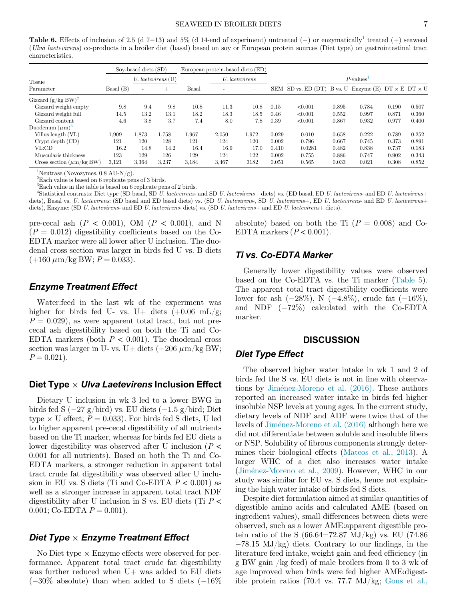#### SEAWEED IN BROILER DIETS 7

<span id="page-6-0"></span>**Table 6.** Effects of inclusion of 2.5 (d 7-[1](#page-6-1)3) and 5% (d 14-end of experiment) untreated (-) or enzymatically<sup>1</sup> treated (+) seaweed (Ulva laetevirens) co-products in a broiler diet (basal) based on soy or European protein sources (Diet type) on gastrointestinal tract characteristics.

|                               |          | Soy-based diets (SD)     |       |       | European protein-based diets (ED) |       |            |                                                             |       |       |       |       |  |
|-------------------------------|----------|--------------------------|-------|-------|-----------------------------------|-------|------------|-------------------------------------------------------------|-------|-------|-------|-------|--|
| <b>Tissue</b>                 |          | U. laetevirens $(U)$     |       |       | U. laetevirens                    |       |            | $P$ -values <sup>4</sup>                                    |       |       |       |       |  |
| Parameter                     | Basal(B) | $\overline{\phantom{a}}$ |       | Basal | ٠                                 | ÷     | <b>SEM</b> | SD vs. ED (DT) B vs. U Enzyme (E) $DT \times E DT \times U$ |       |       |       |       |  |
| Gizzard $(g/kg BW)^2$         |          |                          |       |       |                                   |       |            |                                                             |       |       |       |       |  |
| Gizzard weight empty          | 9.8      | 9.4                      | 9.8   | 10.8  | 11.3                              | 10.8  | 0.15       | < 0.001                                                     | 0.895 | 0.784 | 0.190 | 0.507 |  |
| Gizzard weight full           | 14.5     | 13.2                     | 13.1  | 18.2  | 18.3                              | 18.5  | 0.46       | < 0.001                                                     | 0.552 | 0.997 | 0.871 | 0.360 |  |
| Gizzard content               | 4.6      | 3.8                      | 3.7   | 7.4   | 8.0                               | 7.8   | 0.39       | < 0.001                                                     | 0.867 | 0.932 | 0.977 | 0.400 |  |
| Duodenum $(\mu m)^3$          |          |                          |       |       |                                   |       |            |                                                             |       |       |       |       |  |
| Villus length (VL)            | 1.909    | 1,873                    | 1,758 | 1,967 | 2,050                             | 1,972 | 0.029      | 0.010                                                       | 0.658 | 0.222 | 0.789 | 0.252 |  |
| Crypt depth (CD)              | 121      | 120                      | 128   | 121   | 124                               | 120   | 0.002      | 0.796                                                       | 0.667 | 0.745 | 0.373 | 0.891 |  |
| VL:CD                         | 16.2     | 14.8                     | 14.2  | 16.4  | 16.9                              | 17.0  | 0.410      | 0.0281                                                      | 0.482 | 0.838 | 0.737 | 0.183 |  |
| Muscularis thickness          | 123      | 129                      | 126   | 129   | 124                               | 122   | 0.002      | 0.755                                                       | 0.886 | 0.747 | 0.902 | 0.343 |  |
| Cross section $(\mu m/kg BW)$ | 3,121    | 3,364                    | 3.237 | 3.184 | 3.467                             | 3182  | 0.051      | 0.565                                                       | 0.033 | 0.021 | 0.308 | 0.852 |  |

 $1$ Neutrase (Novozymes, 0.8 AU-N/g).

2 Each value is based on 6 replicate pens of 3 birds.

3 Each value in the table is based on 6 replicate pens of 2 birds.

<span id="page-6-3"></span><span id="page-6-2"></span><span id="page-6-1"></span>4 Statistical contrasts: Diet type (SD basal, SD U. laetevirens- and SD U. laetevirens+ diets) vs. (ED basal, ED U. laetevirens- and ED U. laetevirens+ diets), Basal vs. U. laetevirens: (SD basal and ED basal diets) vs. (SD U. laetevirens-, SD U. laetevirens+, ED U. laetevirens- and ED U. laetevirens+ diets), Enzyme: (SD U. laetevirens- and ED U. laetevirens- diets) vs. (SD U. laetevirens+ and ED U. laetevirens+ diets).

pre-cecal ash  $(P < 0.001)$ , OM  $(P < 0.001)$ , and N  $(P = 0.012)$  digestibility coefficients based on the Co-EDTA marker were all lower after U inclusion. The duodenal cross section was larger in birds fed U vs. B diets  $(+160 \ \mu m/kg BW; P = 0.033).$ 

### Enzyme Treatment Effect

Water:feed in the last wk of the experiment was higher for birds fed U- vs. U+ diets  $(+0.06 \text{ mL/g})$ ;  $P = 0.029$ , as were apparent total tract, but not prececal ash digestibility based on both the Ti and Co-EDTA markers (both  $P < 0.001$ ). The duodenal cross section was larger in U- vs. U+ diets  $(+206 \ \mu m/kg BW;$  $P = 0.021$ .

# Diet Type  $\times$  Ulva Laetevirens Inclusion Effect

Dietary U inclusion in wk 3 led to a lower BWG in birds fed S  $(-27 \text{ g/bird})$  vs. EU diets  $(-1.5 \text{ g/bird})$ ; Diet type  $\times$  U effect;  $P = 0.033$ . For birds fed S diets, U led to higher apparent pre-cecal digestibility of all nutrients based on the Ti marker, whereas for birds fed EU diets a lower digestibility was observed after U inclusion ( $P \leq$ 0.001 for all nutrients). Based on both the Ti and Co-EDTA markers, a stronger reduction in apparent total tract crude fat digestibility was observed after U inclusion in EU vs. S diets (Ti and Co-EDTA  $P < 0.001$ ) as well as a stronger increase in apparent total tract NDF digestibility after U inclusion in S vs. EU diets (Ti  $P \leq$ 0.001; Co-EDTA  $P = 0.001$ ).

# Diet Type  $\times$  Enzyme Treatment Effect

No Diet type  $\times$  Enzyme effects were observed for performance. Apparent total tract crude fat digestibility was further reduced when  $U+$  was added to EU diets  $(-30\%$  absolute) than when added to S diets  $(-16\%$ 

absolute) based on both the Ti  $(P = 0.008)$  and Co-EDTA markers ( $P < 0.001$ ).

# Ti vs. Co-EDTA Marker

Generally lower digestibility values were observed based on the Co-EDTA vs. the Ti marker [\(Table 5](#page-5-1)). The apparent total tract digestibility coefficients were lower for ash  $(-28\%)$ , N  $(-4.8\%)$ , crude fat  $(-16\%)$ , and NDF  $(-72\%)$  calculated with the Co-EDTA marker.

# **DISCUSSION**

### Diet Type Effect

The observed higher water intake in wk 1 and 2 of birds fed the S vs. EU diets is not in line with observa-tions by [Jim](#page-10-10)énez-Moreno et al. (2016). These authors reported an increased water intake in birds fed higher insoluble NSP levels at young ages. In the current study, dietary levels of NDF and ADF were twice that of the levels of [Jim](#page-10-10)énez-Moreno et al. (2016) although here we did not differentiate between soluble and insoluble fibers or NSP. Solubility of fibrous components strongly determines their biological effects [\(Mateos et al., 2013](#page-10-11)). A larger WHC of a diet also increases water intake ([Jim](#page-10-12)énez-Moreno et al., 2009). However, WHC in our study was similar for EU vs. S diets, hence not explaining the high water intake of birds fed S diets.

Despite diet formulation aimed at similar quantities of digestible amino acids and calculated AME (based on ingredient values), small differences between diets were observed, such as a lower AME:apparent digestible protein ratio of the S (66.64−72.87 MJ/kg) vs. EU (74.86 −78.15 MJ/kg) diets. Contrary to our findings, in the literature feed intake, weight gain and feed efficiency (in g BW gain /kg feed) of male broilers from 0 to 3 wk of age improved when birds were fed higher AME:digestible protein ratios (70.4 vs. 77.7 MJ/kg; [Gous et al.,](#page-9-20)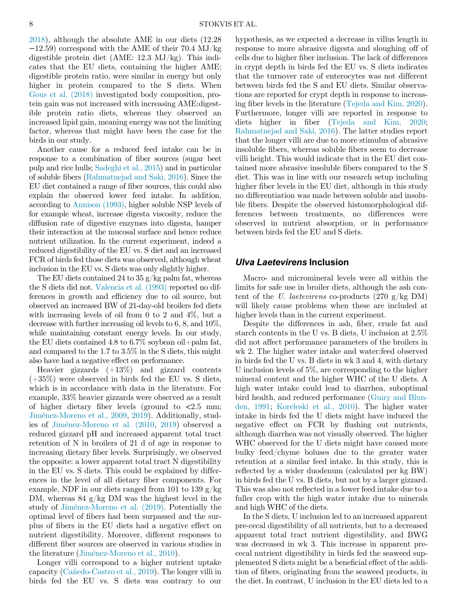[2018\)](#page-9-20), although the absolute AME in our diets (12.28  $-12.59$ ) correspond with the AME of their 70.4 MJ/kg digestible protein diet (AME: 12.3 MJ/kg). This indicates that the EU diets, containing the higher AME: digestible protein ratio, were similar in energy but only higher in protein compared to the S diets. When [Gous et al. \(2018\)](#page-9-20) investigated body composition, protein gain was not increased with increasing AME:digestible protein ratio diets, whereas they observed an increased lipid gain, meaning energy was not the limiting factor, whereas that might have been the case for the birds in our study.

Another cause for a reduced feed intake can be in response to a combination of fiber sources (sugar beet pulp and rice hulls; [Sadeghi et al., 2015\)](#page-10-13) and in particular of soluble fibers ([Rahmatnejad and Saki, 2016](#page-10-14)). Since the EU diet contained a range of fiber sources, this could also explain the observed lower feed intake. In addition, according to [Annison \(1993\),](#page-9-21) higher soluble NSP levels of for example wheat, increase digesta viscosity, reduce the diffusion rate of digestive enzymes into digesta, hamper their interaction at the mucosal surface and hence reduce nutrient utilization. In the current experiment, indeed a reduced digestibility of the EU vs. S diet and an increased FCR of birds fed those diets was observed, although wheat inclusion in the EU vs. S diets was only slightly higher.

The EU diets contained 24 to 35  $g/kg$  palm fat, whereas the S diets did not. [Valencia et al. \(1993\)](#page-10-15) reported no differences in growth and efficiency due to oil source, but observed an increased BW of 21-day-old broilers fed diets with increasing levels of oil from 0 to 2 and 4%, but a decrease with further increasing oil levels to 6, 8, and 10%, while maintaining constant energy levels. In our study, the EU diets contained 4.8 to 6.7% soybean oil+palm fat, and compared to the 1.7 to 3.5% in the S diets, this might also have had a negative effect on performance.

Heavier gizzards  $(+13\%)$  and gizzard contents (+35%) were observed in birds fed the EU vs. S diets, which is in accordance with data in the literature. For example, 33% heavier gizzards were observed as a result of higher dietary fiber levels (ground to  $\langle 2.5 \text{ mm};$ [Jim](#page-10-12)énez-Moreno et al., 2009, [2019\)](#page-10-16). Additionally, stud-ies of [Jim](#page-10-17)énez-Moreno et al. (2010, [2019](#page-10-16)) observed a reduced gizzard pH and increased apparent total tract retention of N in broilers of 21 d of age in response to increasing dietary fiber levels. Surprisingly, we observed the opposite: a lower apparent total tract N digestibility in the EU vs. S diets. This could be explained by differences in the level of all dietary fiber components. For example, NDF in our diets ranged from 101 to 139  $g/kg$ DM, whereas  $84 \text{ g/kg}$  DM was the highest level in the study of [Jim](#page-10-16)é[nez-Moreno et al. \(2019\).](#page-10-16) Potentially the optimal level of fibers had been surpassed and the surplus of fibers in the EU diets had a negative effect on nutrient digestibility. Moreover, different responses to different fiber sources are observed in various studies in the literature [\(Jim](#page-10-17)é[nez-Moreno et al., 2010](#page-10-17)).

Longer villi correspond to a higher nutrient uptake capacity (Cañedo-Castro et al., 2019). The longer villi in birds fed the EU vs. S diets was contrary to our

hypothesis, as we expected a decrease in villus length in response to more abrasive digesta and sloughing off of cells due to higher fiber inclusion. The lack of differences in crypt depth in birds fed the EU vs. S diets indicates that the turnover rate of enterocytes was not different between birds fed the S and EU diets. Similar observations are reported for crypt depth in response to increasing fiber levels in the literature ([Tejeda and Kim, 2020](#page-10-18)). Furthermore, longer villi are reported in response to diets higher in fiber [\(Tejeda and Kim, 2020](#page-10-18); [Rahmatnejad and Saki, 2016](#page-10-14)). The latter studies report that the longer villi are due to more stimulus of abrasive insoluble fibers, whereas soluble fibers seem to decrease villi height. This would indicate that in the EU diet contained more abrasive insoluble fibers compared to the S diet. This was in line with our research setup including higher fiber levels in the EU diet, although in this study no differentiation was made between soluble and insoluble fibers. Despite the observed histomorphological differences between treatments, no differences were observed in nutrient absorption, or in performance between birds fed the EU and S diets.

# Ulva Laetevirens Inclusion

Macro- and micromineral levels were all within the limits for safe use in broiler diets, although the ash content of the U. laetevirens co-products (270 g/kg DM) will likely cause problems when these are included at higher levels than in the current experiment.

Despite the differences in ash, fiber, crude fat and starch contents in the U vs. B diets, U inclusion at 2.5% did not affect performance parameters of the broilers in wk 2. The higher water intake and water:feed observed in birds fed the U vs. B diets in wk 3 and 4, with dietary U inclusion levels of 5%, are corresponding to the higher mineral content and the higher WHC of the U diets. A high water intake could lead to diarrhea, suboptimal bird health, and reduced performance ([Guiry and Blun](#page-9-22)[den, 1991](#page-9-22); [Koreleski et al., 2010\)](#page-10-1). The higher water intake in birds fed the U diets might have induced the negative effect on FCR by flushing out nutrients, although diarrhea was not visually observed. The higher WHC observed for the U diets might have caused more bulky feed/chyme boluses due to the greater water retention at a similar feed intake. In this study, this is reflected by a wider duodenum (calculated per kg BW) in birds fed the U vs. B diets, but not by a larger gizzard. This was also not reflected in a lower feed intake due to a fuller crop with the high water intake due to minerals and high WHC of the diets.

In the S diets, U inclusion led to an increased apparent pre-cecal digestibility of all nutrients, but to a decreased apparent total tract nutrient digestibility, and BWG was decreased in wk 3. This increase in apparent prececal nutrient digestibility in birds fed the seaweed supplemented S diets might be a beneficial effect of the addition of fibers, originating from the seaweed products, in the diet. In contrast, U inclusion in the EU diets led to a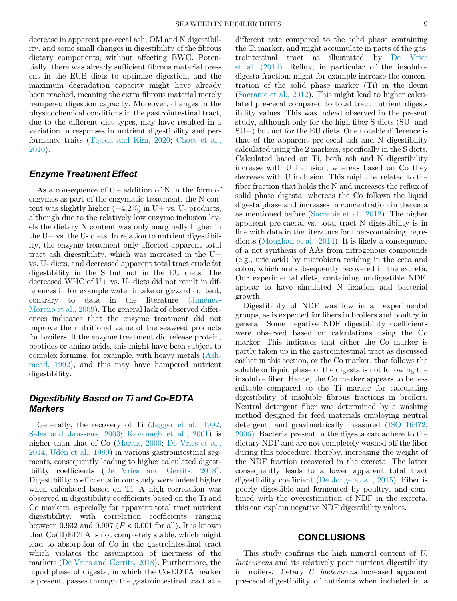decrease in apparent pre-cecal ash, OM and N digestibility, and some small changes in digestibility of the fibrous dietary components, without affecting BWG. Potentially, there was already sufficient fibrous material present in the EUB diets to optimize digestion, and the maximum degradation capacity might have already been reached, meaning the extra fibrous material merely hampered digestion capacity. Moreover, changes in the physicochemical conditions in the gastrointestinal tract, due to the different diet types, may have resulted in a variation in responses in nutrient digestibility and performance traits ([Tejeda and Kim, 2020](#page-10-18); [Choct et al.,](#page-9-23) [2010\)](#page-9-23).

# Enzyme Treatment Effect

As a consequence of the addition of N in the form of enzymes as part of the enzymatic treatment, the N content was slightly higher  $(+4.2\%)$  in U+ vs. U- products, although due to the relatively low enzyme inclusion levels the dietary N content was only marginally higher in the  $U+$  vs. the U- diets. In relation to nutrient digestibility, the enzyme treatment only affected apparent total tract ash digestibility, which was increased in the U+ vs. U- diets, and decreased apparent total tract crude fat digestibility in the S but not in the EU diets. The decreased WHC of U+ vs. U- diets did not result in differences in for example water intake or gizzard content, contrary to data in the literature [\(Jim](#page-10-12)é[nez-](#page-10-12)[Moreno et al., 2009](#page-10-12)). The general lack of observed differences indicates that the enzyme treatment did not improve the nutritional value of the seaweed products for broilers. If the enzyme treatment did release protein, peptides or amino acids, this might have been subject to complex forming, for example, with heavy metals ([Ash](#page-9-24)[mead, 1992\)](#page-9-24), and this may have hampered nutrient digestibility.

# Digestibility Based on Ti and Co-EDTA Markers

Generally, the recovery of Ti ([Jagger et al., 1992](#page-10-19); [Sales and Janssens, 2003](#page-10-20); [Kavanagh et al., 2001](#page-10-21)) is higher than that of Co [\(Marais, 2000](#page-10-22); [De Vries et al.,](#page-9-25) [2014;](#page-9-25) [Ud](#page-10-23)én et al., 1980) in various gastrointestinal segments, consequently leading to higher calculated digestibility coefficients [\(De Vries and Gerrits, 2018](#page-9-26)). Digestibility coefficients in our study were indeed higher when calculated based on Ti. A high correlation was observed in digestibility coefficients based on the Ti and Co markers, especially for apparent total tract nutrient digestibility, with correlation coefficients ranging between 0.932 and 0.997 ( $P < 0.001$  for all). It is known that Co(II)EDTA is not completely stable, which might lead to absorption of Co in the gastrointestinal tract which violates the assumption of inertness of the markers ([De Vries and Gerrits, 2018](#page-9-26)). Furthermore, the liquid phase of digesta, in which the Co-EDTA marker is present, passes through the gastrointestinal tract at a

different rate compared to the solid phase containing the Ti marker, and might accumulate in parts of the gastrointestinal tract as illustrated by [De Vries](#page-9-25) [et al. \(2014\)](#page-9-25). Reflux, in particular of the insoluble digesta fraction, might for example increase the concentration of the solid phase marker (Ti) in the ileum ([Sacranie et al., 2012](#page-10-24)). This might lead to higher calculated pre-cecal compared to total tract nutrient digestibility values. This was indeed observed in the present study, although only for the high fiber S diets (SU- and SU+) but not for the EU diets. One notable difference is that of the apparent pre-cecal ash and N digestibility calculated using the 2 markers, specifically in the S diets. Calculated based on Ti, both ash and N digestibility increase with U inclusion, whereas based on Co they decrease with U inclusion. This might be related to the fiber fraction that holds the N and increases the reflux of solid phase digesta, whereas the Co follows the liquid digesta phase and increases in concentration in the ceca as mentioned before ([Sacranie et al., 2012\)](#page-10-24). The higher apparent pre-caecal vs. total tract N digestibility is in line with data in the literature for fiber-containing ingredients [\(Moughan et al., 2014](#page-10-25)). It is likely a consequence of a net synthesis of AAs from nitrogenous compounds (e.g., uric acid) by microbiota residing in the ceca and colon, which are subsequently recovered in the excreta. Our experimental diets, containing undigestible NDF, appear to have simulated N fixation and bacterial growth.

Digestibility of NDF was low in all experimental groups, as is expected for fibers in broilers and poultry in general. Some negative NDF digestibility coefficients were observed based on calculations using the Co marker. This indicates that either the Co marker is partly taken up in the gastrointestinal tract as discussed earlier in this section, or the Co marker, that follows the soluble or liquid phase of the digesta is not following the insoluble fiber. Hence, the Co marker appears to be less suitable compared to the Ti marker for calculating digestibility of insoluble fibrous fractions in broilers. Neutral detergent fiber was determined by a washing method designed for feed materials employing neutral detergent, and gravimetrically measured ([ISO 16472,](#page-9-15) [2006\)](#page-9-15). Bacteria present in the digesta can adhere to the dietary NDF and are not completely washed off the fiber during this procedure, thereby, increasing the weight of the NDF fraction recovered in the excreta. The latter consequently leads to a lower apparent total tract digestibility coefficient [\(De Jonge et al., 2015\)](#page-9-27). Fiber is poorly digestible and fermented by poultry, and combined with the overestimation of NDF in the excreta, this can explain negative NDF digestibility values.

# CONCLUSIONS

This study confirms the high mineral content of U. laetevirens and its relatively poor nutrient digestibility in broilers. Dietary U. laetevirens increased apparent pre-cecal digestibility of nutrients when included in a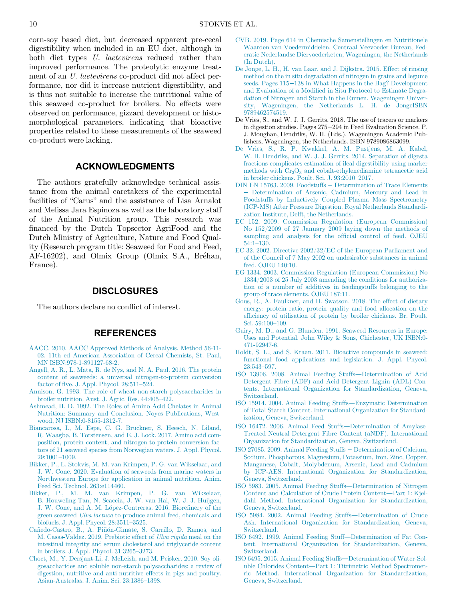<span id="page-9-27"></span><span id="page-9-6"></span>corn-soy based diet, but decreased apparent pre-cecal digestibility when included in an EU diet, although in both diet types U. *laetevirens* reduced rather than improved performance. The proteolytic enzyme treatment of an U. laetevirens co-product did not affect performance, nor did it increase nutrient digestibility, and is thus not suitable to increase the nutritional value of this seaweed co-product for broilers. No effects were observed on performance, gizzard development or histomorphological parameters, indicating that bioactive properties related to these measurements of the seaweed co-product were lacking.

# ACKNOWLEDGMENTS

<span id="page-9-26"></span><span id="page-9-25"></span><span id="page-9-17"></span><span id="page-9-14"></span>The authors gratefully acknowledge technical assistance from the animal caretakers of the experimental facilities of "Carus" and the assistance of Lisa Arnalot and Melissa Jara Espinoza as well as the laboratory staff of the Animal Nutrition group. This research was financed by the Dutch Topsector AgriFood and the Dutch Ministry of Agriculture, Nature and Food Quality (Research program title: Seaweed for Food and Feed, AF-16202), and Olmix Group (Olmix S.A., Bréhan, France).

# DISCLOSURES

<span id="page-9-20"></span><span id="page-9-19"></span><span id="page-9-18"></span>The authors declare no conflict of interest.

# REFERENCES

- <span id="page-9-22"></span><span id="page-9-7"></span><span id="page-9-4"></span>[AACC. 2010. AACC Approved Methods of Analysis. Method 56-11-](http://refhub.elsevier.com/S0032-5791(22)00138-9/sbref0001) [02. 11th ed American Association of Cereal Chemists, St. Paul,](http://refhub.elsevier.com/S0032-5791(22)00138-9/sbref0001) [MN ISBN:978-1-891127-68-2.](http://refhub.elsevier.com/S0032-5791(22)00138-9/sbref0001)
- <span id="page-9-16"></span><span id="page-9-5"></span>[Angell, A. R., L. Mata, R. de Nys, and N. A. Paul. 2016. The protein](http://refhub.elsevier.com/S0032-5791(22)00138-9/sbref0002) [content of seaweeds: a universal nitrogen-to-protein conversion](http://refhub.elsevier.com/S0032-5791(22)00138-9/sbref0002) factor of fi[ve. J. Appl. Phycol. 28:511](http://refhub.elsevier.com/S0032-5791(22)00138-9/sbref0002)–524.
- <span id="page-9-21"></span>[Annison, G. 1993. The role of wheat non-starch polysaccharides in](http://refhub.elsevier.com/S0032-5791(22)00138-9/sbref0003) [broiler nutrition. Aust. J. Agric. Res. 44:405](http://refhub.elsevier.com/S0032-5791(22)00138-9/sbref0003)–422.
- <span id="page-9-24"></span><span id="page-9-13"></span>[Ashmead, H. D. 1992. The Roles of Amino Acid Chelates in Animal](http://refhub.elsevier.com/S0032-5791(22)00138-9/sbref0004) [Nutrition: Summary and Conclusion. Noyes Publications, West](http://refhub.elsevier.com/S0032-5791(22)00138-9/sbref0004)[wood, NJ ISBN:0-8155-1312-7.](http://refhub.elsevier.com/S0032-5791(22)00138-9/sbref0004)
- <span id="page-9-15"></span><span id="page-9-0"></span>[Biancarosa, I., M. Espe, C. G. Bruckner, S. Heesch, N. Liland,](http://refhub.elsevier.com/S0032-5791(22)00138-9/sbref0005) [R. Waagbø, B. Torstensen, and E. J. Lock. 2017. Amino acid com](http://refhub.elsevier.com/S0032-5791(22)00138-9/sbref0005)[position, protein content, and nitrogen-to-protein conversion fac](http://refhub.elsevier.com/S0032-5791(22)00138-9/sbref0005)[tors of 21 seaweed species from Norwegian waters. J. Appl. Phycol.](http://refhub.elsevier.com/S0032-5791(22)00138-9/sbref0005) [29:1001](http://refhub.elsevier.com/S0032-5791(22)00138-9/sbref0005)–1009.
- <span id="page-9-11"></span><span id="page-9-2"></span>[Bikker, P., L. Stokvis, M. M. van Krimpen, P. G. van Wikselaar, and](http://refhub.elsevier.com/S0032-5791(22)00138-9/sbref0006) [J. W. Cone. 2020. Evaluation of seaweeds from marine waters in](http://refhub.elsevier.com/S0032-5791(22)00138-9/sbref0006) [Northwestern Europe for application in animal nutrition. Anim.](http://refhub.elsevier.com/S0032-5791(22)00138-9/sbref0006) [Feed Sci. Technol. 263:e114460.](http://refhub.elsevier.com/S0032-5791(22)00138-9/sbref0006)
- <span id="page-9-9"></span><span id="page-9-3"></span>[Bikker, P., M. M. van Krimpen, P. G. van Wikselaar,](http://refhub.elsevier.com/S0032-5791(22)00138-9/sbref0007) [B. Houweling-Tan, N. Scaccia, J. W. van Hal, W. J. J. Huijgen,](http://refhub.elsevier.com/S0032-5791(22)00138-9/sbref0007) [J. W. Cone, and A. M. L](http://refhub.elsevier.com/S0032-5791(22)00138-9/sbref0007)ópez-Contreras. 2016. Biorefinery of the green seaweed Ulva lactuca [to produce animal feed, chemicals and](http://refhub.elsevier.com/S0032-5791(22)00138-9/sbref0007) [biofuels. J. Appl. Phycol. 28:3511](http://refhub.elsevier.com/S0032-5791(22)00138-9/sbref0007)–3525.
- <span id="page-9-10"></span><span id="page-9-8"></span><span id="page-9-1"></span>[Ca](http://refhub.elsevier.com/S0032-5791(22)00138-9/sbref0009)ñ[edo-Castro, B., A. Pi](http://refhub.elsevier.com/S0032-5791(22)00138-9/sbref0009)ñó[n-Gimate, S. Carrillo, D. Ramos, and](http://refhub.elsevier.com/S0032-5791(22)00138-9/sbref0009) [M. Casas-Valdez. 2019. Prebiotic effect of](http://refhub.elsevier.com/S0032-5791(22)00138-9/sbref0009) Ulva rigida meal on the [intestinal integrity and serum cholesterol and triglyceride content](http://refhub.elsevier.com/S0032-5791(22)00138-9/sbref0009) [in broilers. J. Appl. Phycol. 31:3265](http://refhub.elsevier.com/S0032-5791(22)00138-9/sbref0009)–3273.
- <span id="page-9-23"></span><span id="page-9-12"></span>[Choct, M., Y. Dersjant-Li, J. McLeish, and M. Peisker. 2010. Soy oli](http://refhub.elsevier.com/S0032-5791(22)00138-9/sbref0010)[gosaccharides and soluble non-starch polysaccharides: a review of](http://refhub.elsevier.com/S0032-5791(22)00138-9/sbref0010) [digestion, nutritive and anti-nutritive effects in pigs and poultry.](http://refhub.elsevier.com/S0032-5791(22)00138-9/sbref0010) [Asian-Australas. J. Anim. Sci. 23:1386](http://refhub.elsevier.com/S0032-5791(22)00138-9/sbref0010)–1398.
- [CVB. 2019. Page 614 in Chemische Samenstellingen en Nutritionele](http://refhub.elsevier.com/S0032-5791(22)00138-9/sbref0011) [Waarden van Voedermiddelen. Centraal Veevoeder Bureau, Fed](http://refhub.elsevier.com/S0032-5791(22)00138-9/sbref0011)[eratie Nederlandse Diervoederketen, Wageningen, the Netherlands](http://refhub.elsevier.com/S0032-5791(22)00138-9/sbref0011) [\(In Dutch\).](http://refhub.elsevier.com/S0032-5791(22)00138-9/sbref0011)
- [De Jonge, L. H., H. van Laar, and J. Dijkstra. 2015. Effect of rinsing](http://refhub.elsevier.com/S0032-5791(22)00138-9/sbref0012) [method on the in situ degradation of nitrogen in grains and legume](http://refhub.elsevier.com/S0032-5791(22)00138-9/sbref0012) seeds. Pages 115−[138 in What Happens in the Bag? Development](http://refhub.elsevier.com/S0032-5791(22)00138-9/sbref0012) and Evaluation of a Modifi[ed in Situ Protocol to Estimate Degra](http://refhub.elsevier.com/S0032-5791(22)00138-9/sbref0012)[dation of Nitrogen and Starch in the Rumen. Wageningen Univer](http://refhub.elsevier.com/S0032-5791(22)00138-9/sbref0012)[sity, Wageningen, the Netherlands L. H. de JongeISBN](http://refhub.elsevier.com/S0032-5791(22)00138-9/sbref0012) [9789462574519.](http://refhub.elsevier.com/S0032-5791(22)00138-9/sbref0012)
- De Vries, S., and W. J. J. Gerrits, 2018. The use of tracers or markers in digestion studies. Pages 275−294 in Feed Evaluation Science. P. J. Moughan, Hendriks, W. H. (Eds.). Wageningen Academic Publishers, Wageningen, the Netherlands. ISBN 9789086863099.
- [De Vries, S., R. P. Kwakkel, A. M. Pustjens, M. A. Kabel,](http://refhub.elsevier.com/S0032-5791(22)00138-9/sbref0014) [W. H. Hendriks, and W. J. J. Gerrits. 2014. Separation of digesta](http://refhub.elsevier.com/S0032-5791(22)00138-9/sbref0014) [fractions complicates estimation of ileal digestibility using marker](http://refhub.elsevier.com/S0032-5791(22)00138-9/sbref0014) methods with  $Cr_2O_3$  [and cobalt-ethylenediamine tetraacetic acid](http://refhub.elsevier.com/S0032-5791(22)00138-9/sbref0014) [in broiler chickens. Poult. Sci. J. 93:2010](http://refhub.elsevier.com/S0032-5791(22)00138-9/sbref0014)–2017.
- DIN EN 15763. 2009. Foodstuffs − [Determination of Trace Elements](http://refhub.elsevier.com/S0032-5791(22)00138-9/sbref0015) − [Determination of Arsenic, Cadmium, Mercury and Lead in](http://refhub.elsevier.com/S0032-5791(22)00138-9/sbref0015) [Foodstuffs by Inductively Coupled Plasma Mass Spectrometry](http://refhub.elsevier.com/S0032-5791(22)00138-9/sbref0015) [\(ICP-MS\) After Pressure Digestion. Royal Netherlands Standardi](http://refhub.elsevier.com/S0032-5791(22)00138-9/sbref0015)[zation Institute, Delft, the Netherlands.](http://refhub.elsevier.com/S0032-5791(22)00138-9/sbref0015)
- [EC 152. 2009. Commission Regulation \(European Commission\)](http://refhub.elsevier.com/S0032-5791(22)00138-9/sbref0016) [No 152/2009 of 27 January 2009 laying down the methods of](http://refhub.elsevier.com/S0032-5791(22)00138-9/sbref0016) [sampling and analysis for the of](http://refhub.elsevier.com/S0032-5791(22)00138-9/sbref0016)ficial control of feed. OJEU 54:1–[130.](http://refhub.elsevier.com/S0032-5791(22)00138-9/sbref0016)
- [EC 32. 2002. Directive 2002/32/EC of the European Parliament and](http://refhub.elsevier.com/S0032-5791(22)00138-9/sbref0017) [of the Council of 7 May 2002 on undesirable substances in animal](http://refhub.elsevier.com/S0032-5791(22)00138-9/sbref0017) [feed. OJEU 140:10.](http://refhub.elsevier.com/S0032-5791(22)00138-9/sbref0017)
- [EG 1334. 2003. Commission Regulation \(European Commission\) No](http://refhub.elsevier.com/S0032-5791(22)00138-9/sbref0018) [1334/2003 of 25 July 2003 amending the conditions for authoriza](http://refhub.elsevier.com/S0032-5791(22)00138-9/sbref0018)[tion of a number of additives in feedingstuffs belonging to the](http://refhub.elsevier.com/S0032-5791(22)00138-9/sbref0018) [group of trace elements. OJEU 187:11.](http://refhub.elsevier.com/S0032-5791(22)00138-9/sbref0018)
- [Gous, R., A. Faulkner, and H. Swatson. 2018. The effect of dietary](http://refhub.elsevier.com/S0032-5791(22)00138-9/sbref0020) [energy: protein ratio, protein quality and food allocation on the](http://refhub.elsevier.com/S0032-5791(22)00138-9/sbref0020) effi[ciency of utilisation of protein by broiler chickens. Br. Poult.](http://refhub.elsevier.com/S0032-5791(22)00138-9/sbref0020) [Sci. 59:100](http://refhub.elsevier.com/S0032-5791(22)00138-9/sbref0020)–109.
- [Guiry, M. D., and G. Blunden. 1991. Seaweed Resources in Europe:](http://refhub.elsevier.com/S0032-5791(22)00138-9/sbref0021) [Uses and Potential. John Wiley & Sons, Chichester, UK ISBN:0-](http://refhub.elsevier.com/S0032-5791(22)00138-9/sbref0021) [471-92947-6.](http://refhub.elsevier.com/S0032-5791(22)00138-9/sbref0021)
- [Holdt, S. L., and S. Kraan. 2011. Bioactive compounds in seaweed:](http://refhub.elsevier.com/S0032-5791(22)00138-9/optWzkVN948vM) [functional food applications and legislation. J. Appl. Phycol.](http://refhub.elsevier.com/S0032-5791(22)00138-9/optWzkVN948vM) [23:543](http://refhub.elsevier.com/S0032-5791(22)00138-9/optWzkVN948vM)–597.
- [ISO 13906. 2008. Animal Feeding Stuffs](http://refhub.elsevier.com/S0032-5791(22)00138-9/sbref0022)—Determination of Acid [Detergent Fibre \(ADF\) and Acid Detergent Lignin \(ADL\) Con](http://refhub.elsevier.com/S0032-5791(22)00138-9/sbref0022)[tents. International Organization for Standardization, Geneva,](http://refhub.elsevier.com/S0032-5791(22)00138-9/sbref0022) [Switzerland.](http://refhub.elsevier.com/S0032-5791(22)00138-9/sbref0022)
- [ISO 15914. 2004. Animal Feeding Stuffs](http://refhub.elsevier.com/S0032-5791(22)00138-9/sbref0023)—Enzymatic Determination [of Total Starch Content. International Organization for Standard](http://refhub.elsevier.com/S0032-5791(22)00138-9/sbref0023)[ization, Geneva, Switzerland.](http://refhub.elsevier.com/S0032-5791(22)00138-9/sbref0023)
- [ISO 16472. 2006. Animal Feed Stuffs](http://refhub.elsevier.com/S0032-5791(22)00138-9/sbref0024)—Determination of Amylase-[Treated Neutral Detergent Fibre Content \(aNDF\). International](http://refhub.elsevier.com/S0032-5791(22)00138-9/sbref0024) [Organization for Standardization, Geneva, Switzerland.](http://refhub.elsevier.com/S0032-5791(22)00138-9/sbref0024)
- [ISO 27085. 2009. Animal Feeding Stuffs](http://refhub.elsevier.com/S0032-5791(22)00138-9/sbref0025) − Determination of Calcium, [Sodium, Phosphorous, Magnesium, Potassium, Iron, Zinc, Copper,](http://refhub.elsevier.com/S0032-5791(22)00138-9/sbref0025) [Manganese, Cobalt, Molybdenum, Arsenic, Lead and Cadmium](http://refhub.elsevier.com/S0032-5791(22)00138-9/sbref0025) [by ICP-AES. International Organization for Standardization,](http://refhub.elsevier.com/S0032-5791(22)00138-9/sbref0025) [Geneva, Switzerland.](http://refhub.elsevier.com/S0032-5791(22)00138-9/sbref0025)
- [ISO 5983. 2005. Animal Feeding Stuffs](http://refhub.elsevier.com/S0032-5791(22)00138-9/sbref0026)—Determination of Nitrogen [Content and Calculation of Crude Protein Content](http://refhub.elsevier.com/S0032-5791(22)00138-9/sbref0026)—Part 1: Kjel[dahl Method. International Organization for Standardization,](http://refhub.elsevier.com/S0032-5791(22)00138-9/sbref0026) [Geneva, Switzerland.](http://refhub.elsevier.com/S0032-5791(22)00138-9/sbref0026)
- [ISO 5984. 2002. Animal Feeding Stuffs](http://refhub.elsevier.com/S0032-5791(22)00138-9/sbref0027)—Determination of Crude [Ash. International Organization for Standardization, Geneva,](http://refhub.elsevier.com/S0032-5791(22)00138-9/sbref0027) [Switzerland.](http://refhub.elsevier.com/S0032-5791(22)00138-9/sbref0027)
- [ISO 6492. 1999. Animal Feeding Stuff](http://refhub.elsevier.com/S0032-5791(22)00138-9/sbref0028)—Determination of Fat Con[tent. International Organization for Standardization, Geneva,](http://refhub.elsevier.com/S0032-5791(22)00138-9/sbref0028) [Switzerland.](http://refhub.elsevier.com/S0032-5791(22)00138-9/sbref0028)
- [ISO 6495. 2015. Animal Feeding Stuffs](http://refhub.elsevier.com/S0032-5791(22)00138-9/sbref0029)—Determination of Water-Soluble Chlorides Content—[Part 1: Titrimetric Method Spectromet](http://refhub.elsevier.com/S0032-5791(22)00138-9/sbref0029)[ric Method. International Organization for Standardization,](http://refhub.elsevier.com/S0032-5791(22)00138-9/sbref0029) [Geneva, Switzerland.](http://refhub.elsevier.com/S0032-5791(22)00138-9/sbref0029)